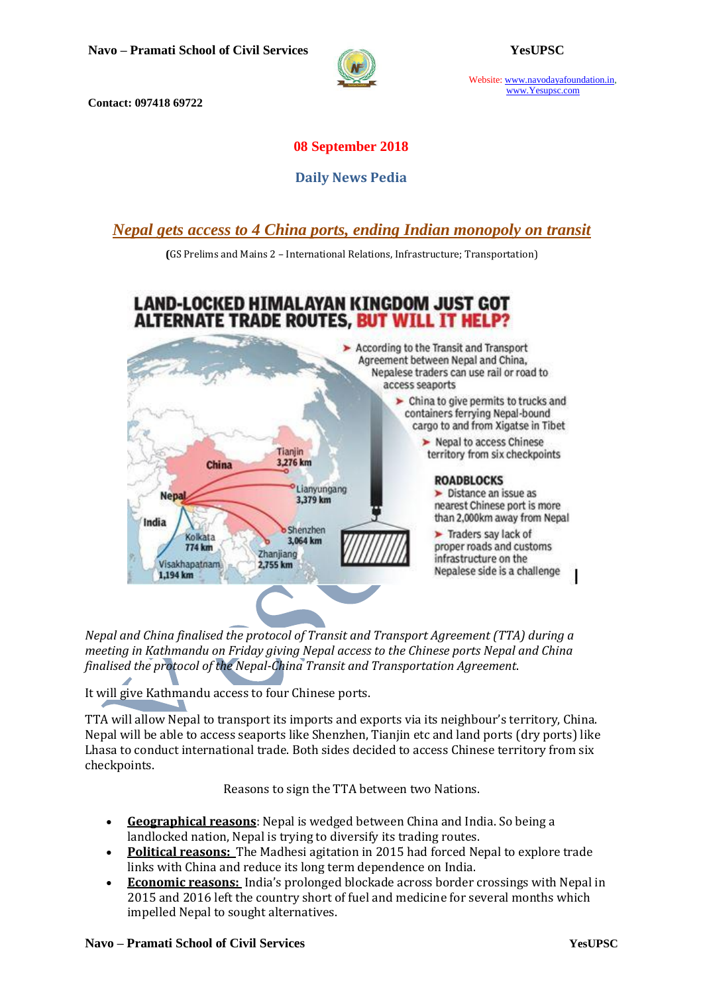

Website: www.navodayafoundation.in, www.Yesupsc.com

**Contact: 097418 69722**

## **08 September 2018**

## **Daily News Pedia**

*[Nepal gets access to 4 China ports, ending Indian monopoly on transit](https://timesofindia.indiatimes.com/world/south-asia/nepal-gets-access-to-4-china-ports-ending-indian-monopoly-on-transit/articleshow/65726862.cms)*

**(**GS Prelims and Mains 2 – International Relations, Infrastructure; Transportation)

# LAND-LOCKED HIMALAYAN KINGDOM JUST GOT **ALTERNATE TRADE ROUTES, BUT WILL IT HELP?**



*Nepal and China finalised the protocol of [Transit and Transport Agreement](https://timesofindia.indiatimes.com/topic/Transit-and-Transport-Agreement) (TTA) during a meeting in Kathmandu on Friday giving Nepal access to the Chinese ports Nepal and China finalised the protocol of the Nepal-China Transit and Transportation Agreement*.

It will give Kathmandu access to four Chinese ports.

TTA will allow Nepal to transport its imports and exports via its neighbour's territory, China. Nepal will be able to access seaports like Shenzhen, Tianjin etc and land ports (dry ports) like Lhasa to conduct international trade. Both sides decided to access Chinese territory from six checkpoints.

Reasons to sign the TTA between two Nations.

- **Geographical reasons**: Nepal is wedged between China and India. So being a landlocked nation, Nepal is trying to diversify its trading routes.
- **Political reasons:** The Madhesi agitation in 2015 had forced Nepal to explore trade links with China and reduce its long term dependence on India.
- **Economic reasons:** India's prolonged blockade across border crossings with Nepal in 2015 and 2016 left the country short of fuel and medicine for several months which impelled Nepal to sought alternatives.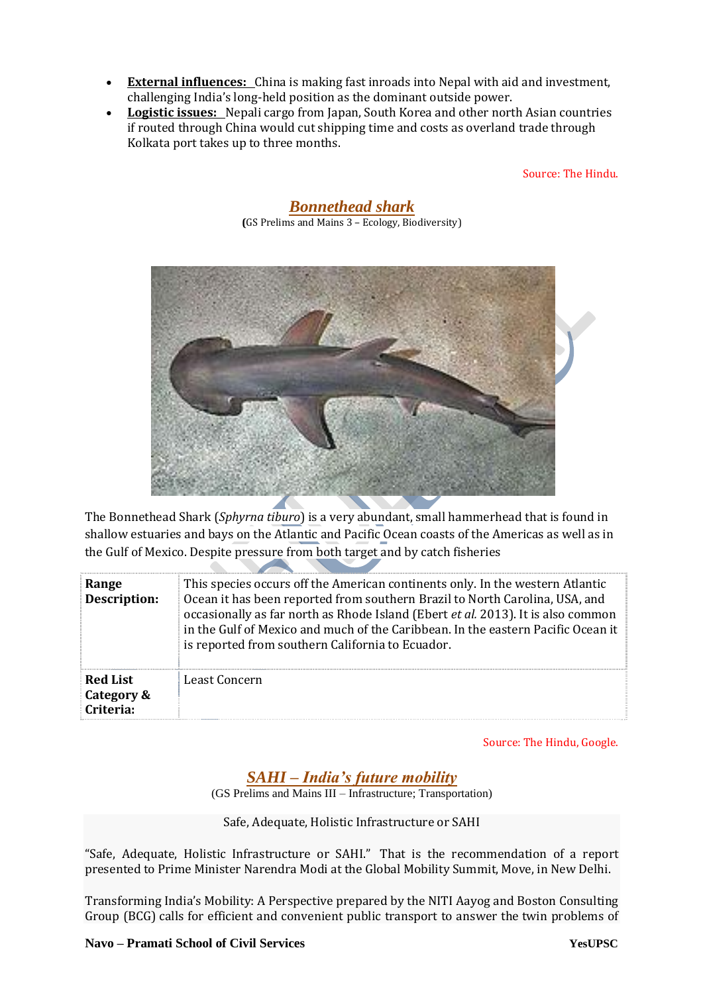- **External influences:** China is making fast inroads into Nepal with aid and investment, challenging India's long-held position as the dominant outside power.
- **Logistic issues:** Nepali cargo from Japan, South Korea and other north Asian countries if routed through China would cut shipping time and costs as overland trade through Kolkata port takes up to three months.

*Bonnethead shark*

Source: The Hindu.



The Bonnethead Shark (*Sphyrna tiburo*) is a very abundant, small hammerhead that is found in shallow estuaries and bays on the Atlantic and Pacific Ocean coasts of the Americas as well as in the Gulf of Mexico. Despite pressure from both target and by catch fisheries

| Range<br><b>Description:</b>               | This species occurs off the American continents only. In the western Atlantic<br>Ocean it has been reported from southern Brazil to North Carolina, USA, and<br>occasionally as far north as Rhode Island (Ebert et al. 2013). It is also common<br>in the Gulf of Mexico and much of the Caribbean. In the eastern Pacific Ocean it<br>is reported from southern California to Ecuador. |
|--------------------------------------------|------------------------------------------------------------------------------------------------------------------------------------------------------------------------------------------------------------------------------------------------------------------------------------------------------------------------------------------------------------------------------------------|
| <b>Red List</b><br>Category &<br>Criteria: | Least Concern                                                                                                                                                                                                                                                                                                                                                                            |

Source: The Hindu, Google.

*SAHI – India's future mobility*

(GS Prelims and Mains III – Infrastructure; Transportation)

Safe, Adequate, Holistic Infrastructure or SAHI

"Safe, Adequate, Holistic Infrastructure or SAHI." That is the recommendation of a report presented to Prime Minister Narendra Modi at the Global Mobility Summit, Move, in New Delhi.

Transforming India's Mobility: A Perspective prepared by the NITI Aayog and Boston Consulting Group (BCG) calls for efficient and convenient public transport to answer the twin problems of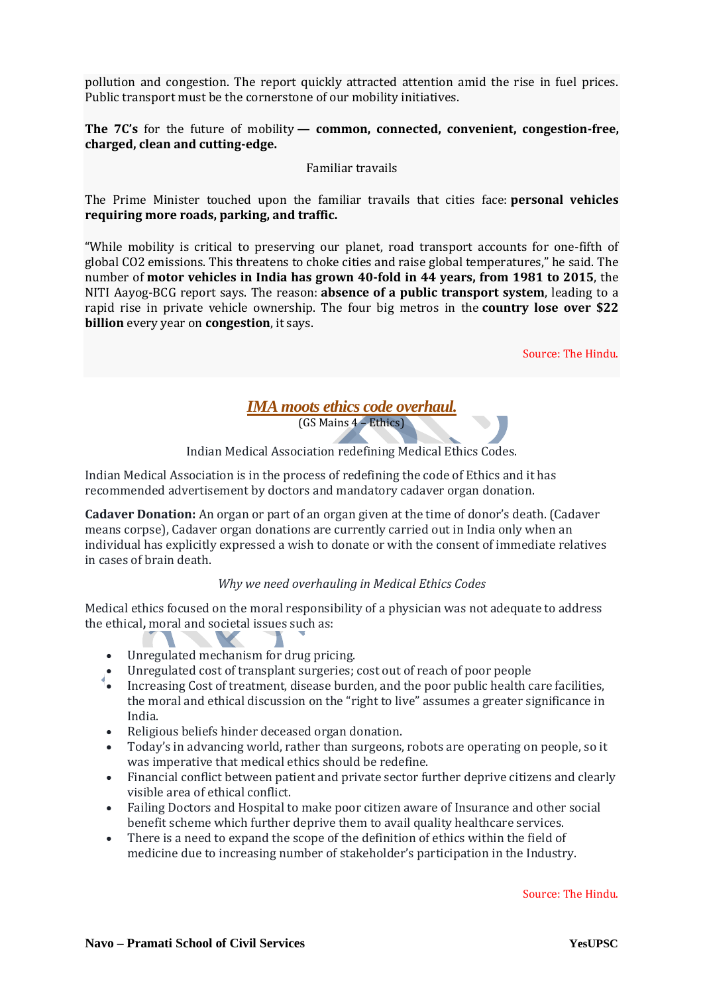pollution and congestion. The report quickly attracted attention amid the rise in fuel prices. Public transport must be the cornerstone of our mobility initiatives.

**The 7C's** for the future of mobility **— common, connected, convenient, congestion-free, charged, clean and cutting-edge.**

#### Familiar travails

The Prime Minister touched upon the familiar travails that cities face: **personal vehicles requiring more roads, parking, and traffic.**

"While mobility is critical to preserving our planet, road transport accounts for one-fifth of global CO2 emissions. This threatens to choke cities and raise global temperatures," he said. The number of **motor vehicles in India has grown 40-fold in 44 years, from 1981 to 2015**, the NITI Aayog-BCG report says. The reason: **absence of a public transport system**, leading to a rapid rise in private vehicle ownership. The four big metros in the **country lose over \$22 billion** every year on **congestion**, it says.

Source: The Hindu.

# *IMA moots ethics code overhaul.*

(GS Mains 4 – Ethics)

Indian Medical Association redefining Medical Ethics Codes.

Indian Medical Association is in the process of redefining the code of Ethics and it has recommended advertisement by doctors and mandatory cadaver organ donation.

**Cadaver Donation:** An organ or part of an organ given at the time of donor's death. (Cadaver means corpse), Cadaver organ donations are currently carried out in India only when an individual has explicitly expressed a wish to donate or with the consent of immediate relatives in cases of brain death.

## *Why we need overhauling in Medical Ethics Codes*

Medical ethics focused on the moral responsibility of a physician was not adequate to address the ethical**,** moral and societal issues such as:

Unregulated mechanism for drug pricing.

 $\blacksquare$ 

- Unregulated cost of transplant surgeries; cost out of reach of poor people
- Increasing Cost of treatment, disease burden, and the poor public health care facilities, the moral and ethical discussion on the "right to live" assumes a greater significance in India.
- Religious beliefs hinder deceased organ donation.
- Today's in advancing world, rather than surgeons, robots are operating on people, so it was imperative that medical ethics should be redefine.
- Financial conflict between patient and private sector further deprive citizens and clearly visible area of ethical conflict.
- Failing Doctors and Hospital to make poor citizen aware of Insurance and other social benefit scheme which further deprive them to avail quality healthcare services.
- There is a need to expand the scope of the definition of ethics within the field of medicine due to increasing number of stakeholder's participation in the Industry.

Source: The Hindu.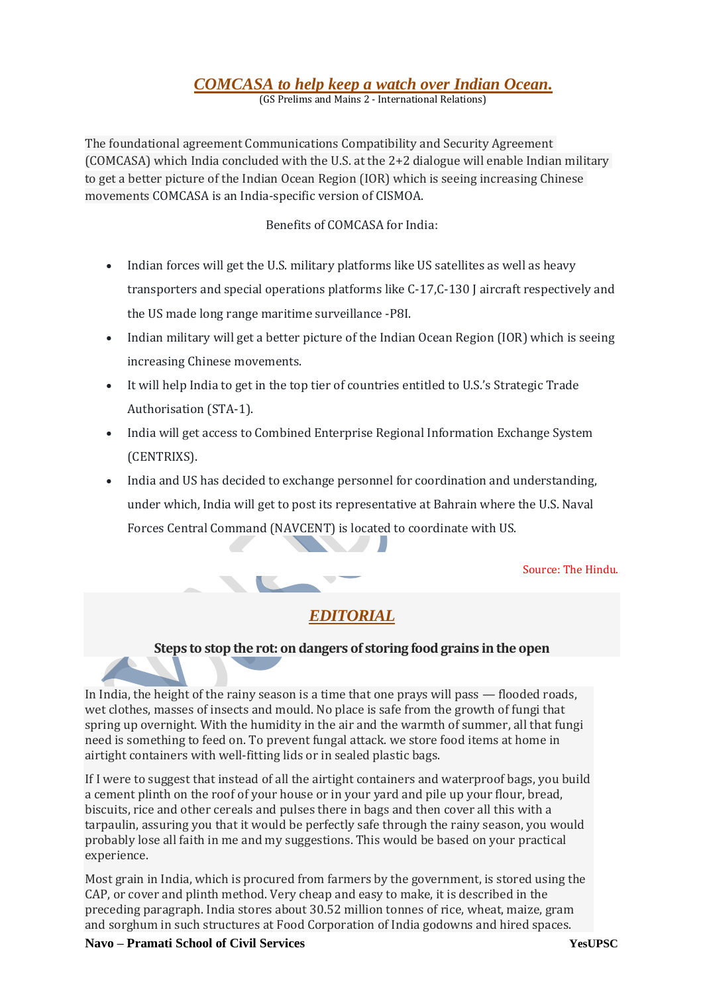# *[COMCASA to help keep a watch over Indian Ocean.](https://www.thehindu.com/news/national/comcasa-will-help-india-track-chinas-indian-ocean-moves-better/article24896647.ece)*

(GS Prelims and Mains 2 - International Relations)

The foundational agreement Communications Compatibility and Security Agreement (COMCASA) which India concluded with the U.S. at the 2+2 dialogue will enable Indian military to get a better picture of the Indian Ocean Region (IOR) which is seeing increasing Chinese movements COMCASA is an India-specific version of CISMOA.

## Benefits of COMCASA for India:

- Indian forces will get the U.S. military platforms like US satellites as well as heavy transporters and special operations platforms like C-17,C-130 J aircraft respectively and the US made long range maritime surveillance -P8I.
- Indian military will get a better picture of the Indian Ocean Region (IOR) which is seeing increasing Chinese movements.
- It will help India to get in the top tier of countries entitled to U.S.'s Strategic Trade Authorisation (STA-1).
- India will get access to Combined Enterprise Regional Information Exchange System (CENTRIXS).
- India and US has decided to exchange personnel for coordination and understanding, under which, India will get to post its representative at Bahrain where the U.S. Naval Forces Central Command (NAVCENT) is located to coordinate with US.

Source: The Hindu.

# *EDITORIAL*

## **Steps to stop the rot: on dangers of storing food grains in the open**

In India, the height of the rainy season is a time that one prays will pass — flooded roads, wet clothes, masses of insects and mould. No place is safe from the growth of fungi that spring up overnight. With the humidity in the air and the warmth of summer, all that fungi need is something to feed on. To prevent fungal attack. we store food items at home in airtight containers with well-fitting lids or in sealed plastic bags.

If I were to suggest that instead of all the airtight containers and waterproof bags, you build a cement plinth on the roof of your house or in your yard and pile up your flour, bread, biscuits, rice and other cereals and pulses there in bags and then cover all this with a tarpaulin, assuring you that it would be perfectly safe through the rainy season, you would probably lose all faith in me and my suggestions. This would be based on your practical experience.

Most grain in India, which is procured from farmers by the government, is stored using the CAP, or cover and plinth method. Very cheap and easy to make, it is described in the preceding paragraph. India stores about 30.52 million tonnes of rice, wheat, maize, gram and sorghum in such structures at Food Corporation of India godowns and hired spaces.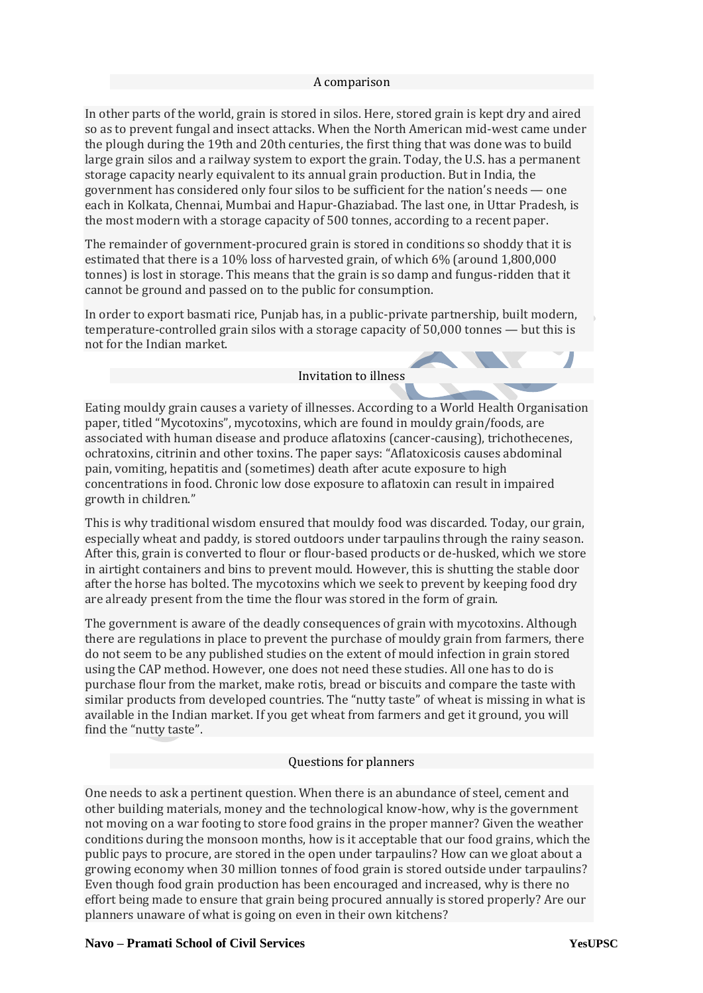#### A comparison

In other parts of the world, grain is stored in silos. Here, stored grain is kept dry and aired so as to prevent fungal and insect attacks. When the North American mid-west came under the plough during the 19th and 20th centuries, the first thing that was done was to build large grain silos and a railway system to export the grain. Today, the U.S. has a permanent storage capacity nearly equivalent to its annual grain production. But in India, the government has considered only four silos to be sufficient for the nation's needs — one each in Kolkata, Chennai, Mumbai and Hapur-Ghaziabad. The last one, in Uttar Pradesh, is the most modern with a storage capacity of 500 tonnes, according to a recent paper.

The remainder of government-procured grain is stored in conditions so shoddy that it is estimated that there is a 10% loss of harvested grain, of which 6% (around 1,800,000 tonnes) is lost in storage. This means that the grain is so damp and fungus-ridden that it cannot be ground and passed on to the public for consumption.

In order to export basmati rice, Punjab has, in a public-private partnership, built modern, temperature-controlled grain silos with a storage capacity of 50,000 tonnes — but this is not for the Indian market.

#### Invitation to illness

Eating mouldy grain causes a variety of illnesses. According to a World Health Organisation paper, titled "Mycotoxins", mycotoxins, which are found in mouldy grain/foods, are associated with human disease and produce aflatoxins (cancer-causing), trichothecenes, ochratoxins, citrinin and other toxins. The paper says: "Aflatoxicosis causes abdominal pain, vomiting, hepatitis and (sometimes) death after acute exposure to high concentrations in food. Chronic low dose exposure to aflatoxin can result in impaired growth in children."

This is why traditional wisdom ensured that mouldy food was discarded. Today, our grain, especially wheat and paddy, is stored outdoors under tarpaulins through the rainy season. After this, grain is converted to flour or flour-based products or de-husked, which we store in airtight containers and bins to prevent mould. However, this is shutting the stable door after the horse has bolted. The mycotoxins which we seek to prevent by keeping food dry are already present from the time the flour was stored in the form of grain.

The government is aware of the deadly consequences of grain with mycotoxins. Although there are regulations in place to prevent the purchase of mouldy grain from farmers, there do not seem to be any published studies on the extent of mould infection in grain stored using the CAP method. However, one does not need these studies. All one has to do is purchase flour from the market, make rotis, bread or biscuits and compare the taste with similar products from developed countries. The "nutty taste" of wheat is missing in what is available in the Indian market. If you get wheat from farmers and get it ground, you will find the "nutty taste".

#### Questions for planners

One needs to ask a pertinent question. When there is an abundance of steel, cement and other building materials, money and the technological know-how, why is the government not moving on a war footing to store food grains in the proper manner? Given the weather conditions during the monsoon months, how is it acceptable that our food grains, which the public pays to procure, are stored in the open under tarpaulins? How can we gloat about a growing economy when 30 million tonnes of food grain is stored outside under tarpaulins? Even though food grain production has been encouraged and increased, why is there no effort being made to ensure that grain being procured annually is stored properly? Are our planners unaware of what is going on even in their own kitchens?